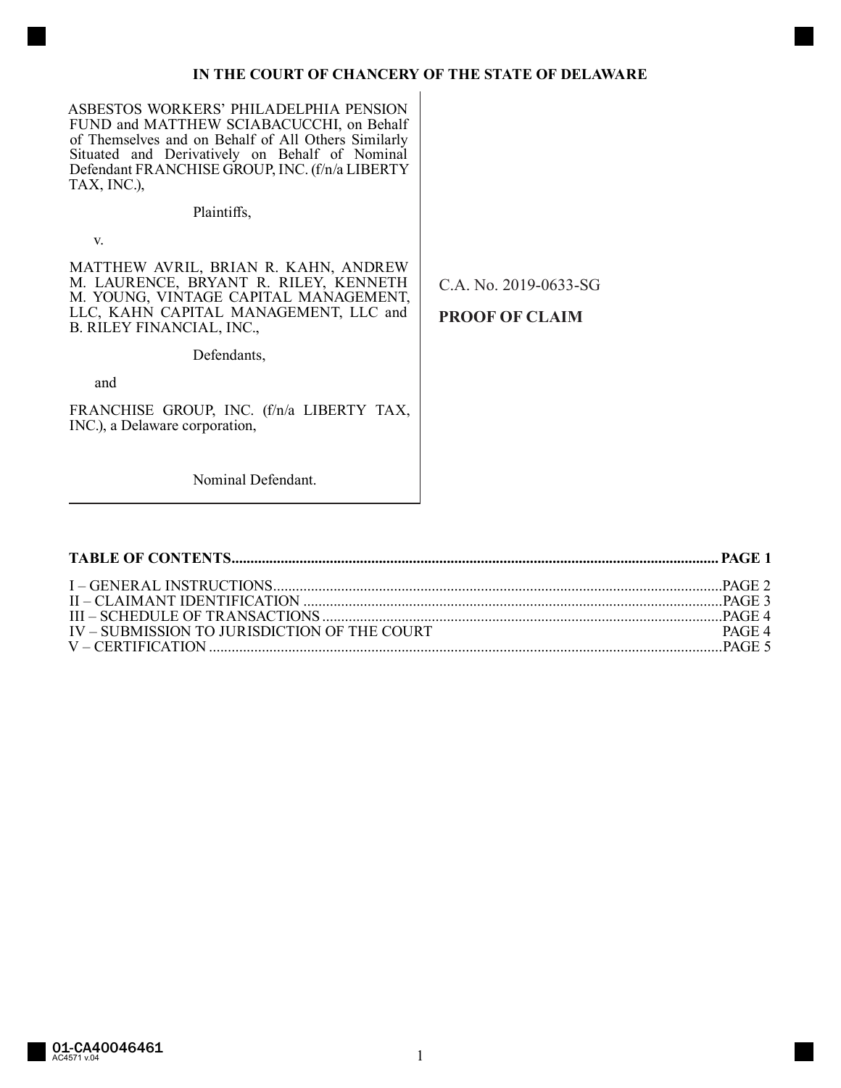## IN THE COURT OF CHANCERY OF THE STATE OF DELAWARE

ASBESTOS WORKERS' PHILADELPHIA PENSION FUND and MATTHEW SCIABACUCCHI, on Behalf of Themselves and on Behalf of All Others Similarly Situated and Derivatively on Behalf of Nominal Defendant FRANCHISE GROUP, INC. (f/n/a LIBERTY TAX, INC.),

Plaintiffs,

V.

MATTHEW AVRIL, BRIAN R. KAHN, ANDREW M. LAURENCE, BRYANT R. RILEY, KENNETH M. YOUNG, VINTAGE CAPITAL MANAGEMENT, LLC, KAHN CAPITAL MANAGEMENT, LLC and **B. RILEY FINANCIAL, INC.,** 

Defendants,

and

FRANCHISE GROUP, INC. (f/n/a LIBERTY TAX, INC.), a Delaware corporation,

C.A. No. 2019-0633-SG

**PROOF OF CLAIM** 

Nominal Defendant.

| IV – SUBMISSION TO JURISDICTION OF THE COURT | PAGE 4 |
|----------------------------------------------|--------|
|                                              |        |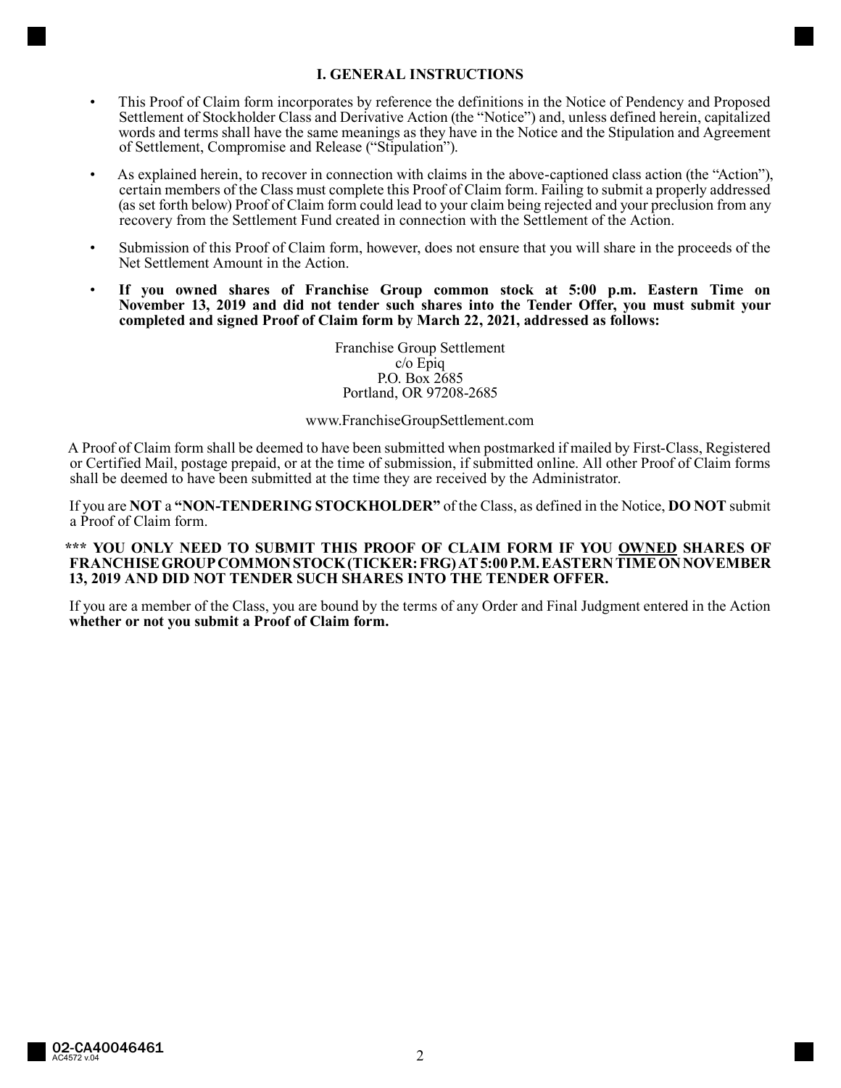# **I. GENERAL INSTRUCTIONS**

- This Proof of Claim form incorporates by reference the definitions in the Notice of Pendency and Proposed Settlement of Stockholder Class and Derivative Action (the "Notice") and, unless defined herein, capitalized words and terms shall have the same meanings as they have in the Notice and the Stipulation and Agreement of Settlement, Compromise and Release ("Stipulation").
- As explained herein, to recover in connection with claims in the above-captioned class action (the "Action"), certain members of the Class must complete this Proof of Claim form. Failing to submit a properly addressed (as set forth below) Proof of Claim form could lead to your claim being rejected and your preclusion from any recovery from the Settlement Fund created in connection with the Settlement of the Action.
- Submission of this Proof of Claim form, however, does not ensure that you will share in the proceeds of the Net Settlement Amount in the Action.
- **If you owned shares of Franchise Group common stock at 5:00 p.m. Eastern Time on November 13, 2019 and did not tender such shares into the Tender Offer, you must submit your completed and signed Proof of Claim form by March 22, 2021, addressed as follows:**

Franchise Group Settlement c/o Epiq P.O. Box 2685 Portland, OR 97208-2685

#### www.FranchiseGroupSettlement.com

A Proof of Claim form shall be deemed to have been submitted when postmarked if mailed by First-Class, Registered or Certified Mail, postage prepaid, or at the time of submission, if submitted online. All other Proof of Claim forms shall be deemed to have been submitted at the time they are received by the Administrator.

If you are **NOT** a **"NON-TENDERING STOCKHOLDER"** of the Class, as defined in the Notice, **DO NOT** submit a Proof of Claim form.

### **\*\*\* YOU ONLY NEED TO SUBMIT THIS PROOF OF CLAIM FORM IF YOU OWNED SHARES OF FRANCHISE GROUP COMMON STOCK (TICKER: FRG) AT 5:00 P.M. EASTERN TIME ON NOVEMBER 13, 2019 AND DID NOT TENDER SUCH SHARES INTO THE TENDER OFFER.**

If you are a member of the Class, you are bound by the terms of any Order and Final Judgment entered in the Action **whether or not you submit a Proof of Claim form.**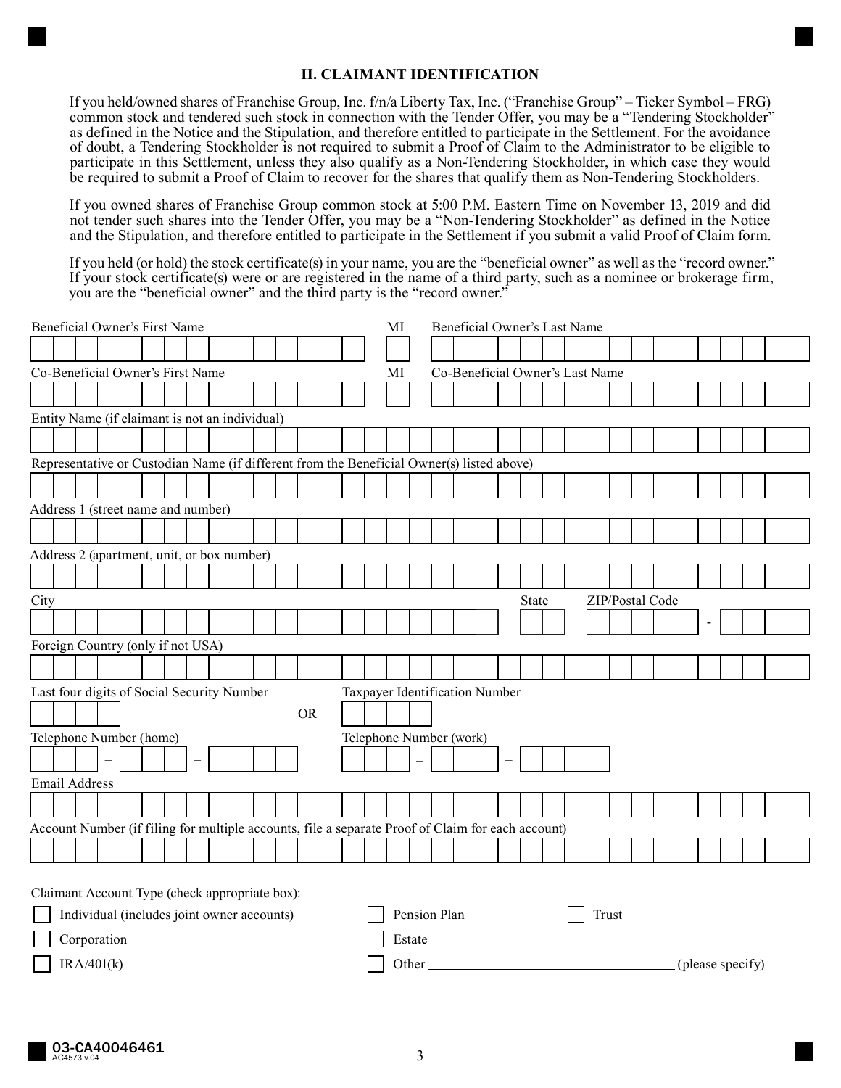## **II. CLAIMANT IDENTIFICATION**

If you held/owned shares of Franchise Group, Inc. f/n/a Liberty Tax, Inc. ("Franchise Group" – Ticker Symbol – FRG) common stock and tendered such stock in connection with the Tender Offer, you may be a "Tendering Stockholder" as defined in the Notice and the Stipulation, and therefore entitled to participate in the Settlement. For the avoidance of doubt, a Tendering Stockholder is not required to submit a Proof of Claim to the Administrator to be eligible to participate in this Settlement, unless they also qualify as a Non-Tendering Stockholder, in which case they would be required to submit a Proof of Claim to recover for the shares that qualify them as Non-Tendering Stockholders.

If you owned shares of Franchise Group common stock at 5:00 P.M. Eastern Time on November 13, 2019 and did not tender such shares into the Tender Offer, you may be a "Non-Tendering Stockholder" as defined in the Notice and the Stipulation, and therefore entitled to participate in the Settlement if you submit a valid Proof of Claim form.

If you held (or hold) the stock certificate(s) in your name, you are the "beneficial owner" as well as the "record owner." If your stock certificate(s) were or are registered in the name of a third party, such as a nominee or brokerage firm, you are the "beneficial owner" and the third party is the "record owner."

| Beneficial Owner's First Name                                                                |                                                                              |  |                                                                                                   |  |  |  |  |  | MI | Beneficial Owner's Last Name |                         |                                 |                                 |  |  |  |        |  |  |  |  |  |  |  |  |  |  |  |  |  |  |  |  |  |
|----------------------------------------------------------------------------------------------|------------------------------------------------------------------------------|--|---------------------------------------------------------------------------------------------------|--|--|--|--|--|----|------------------------------|-------------------------|---------------------------------|---------------------------------|--|--|--|--------|--|--|--|--|--|--|--|--|--|--|--|--|--|--|--|--|--|
|                                                                                              |                                                                              |  |                                                                                                   |  |  |  |  |  |    |                              |                         |                                 |                                 |  |  |  |        |  |  |  |  |  |  |  |  |  |  |  |  |  |  |  |  |  |
| Co-Beneficial Owner's First Name                                                             |                                                                              |  |                                                                                                   |  |  |  |  |  |    |                              | МI                      |                                 | Co-Beneficial Owner's Last Name |  |  |  |        |  |  |  |  |  |  |  |  |  |  |  |  |  |  |  |  |  |
|                                                                                              |                                                                              |  |                                                                                                   |  |  |  |  |  |    |                              |                         |                                 |                                 |  |  |  |        |  |  |  |  |  |  |  |  |  |  |  |  |  |  |  |  |  |
|                                                                                              | Entity Name (if claimant is not an individual)                               |  |                                                                                                   |  |  |  |  |  |    |                              |                         |                                 |                                 |  |  |  |        |  |  |  |  |  |  |  |  |  |  |  |  |  |  |  |  |  |
|                                                                                              |                                                                              |  |                                                                                                   |  |  |  |  |  |    |                              |                         |                                 |                                 |  |  |  |        |  |  |  |  |  |  |  |  |  |  |  |  |  |  |  |  |  |
|                                                                                              |                                                                              |  | Representative or Custodian Name (if different from the Beneficial Owner(s) listed above)         |  |  |  |  |  |    |                              |                         |                                 |                                 |  |  |  |        |  |  |  |  |  |  |  |  |  |  |  |  |  |  |  |  |  |
|                                                                                              |                                                                              |  |                                                                                                   |  |  |  |  |  |    |                              |                         |                                 |                                 |  |  |  |        |  |  |  |  |  |  |  |  |  |  |  |  |  |  |  |  |  |
|                                                                                              | Address 1 (street name and number)                                           |  |                                                                                                   |  |  |  |  |  |    |                              |                         |                                 |                                 |  |  |  |        |  |  |  |  |  |  |  |  |  |  |  |  |  |  |  |  |  |
|                                                                                              |                                                                              |  |                                                                                                   |  |  |  |  |  |    |                              |                         |                                 |                                 |  |  |  |        |  |  |  |  |  |  |  |  |  |  |  |  |  |  |  |  |  |
|                                                                                              | Address 2 (apartment, unit, or box number)                                   |  |                                                                                                   |  |  |  |  |  |    |                              |                         |                                 |                                 |  |  |  |        |  |  |  |  |  |  |  |  |  |  |  |  |  |  |  |  |  |
|                                                                                              |                                                                              |  |                                                                                                   |  |  |  |  |  |    |                              |                         |                                 |                                 |  |  |  |        |  |  |  |  |  |  |  |  |  |  |  |  |  |  |  |  |  |
| City                                                                                         |                                                                              |  |                                                                                                   |  |  |  |  |  |    |                              |                         | ZIP/Postal Code<br><b>State</b> |                                 |  |  |  |        |  |  |  |  |  |  |  |  |  |  |  |  |  |  |  |  |  |
|                                                                                              |                                                                              |  |                                                                                                   |  |  |  |  |  |    |                              |                         |                                 |                                 |  |  |  |        |  |  |  |  |  |  |  |  |  |  |  |  |  |  |  |  |  |
|                                                                                              | Foreign Country (only if not USA)                                            |  |                                                                                                   |  |  |  |  |  |    |                              |                         |                                 |                                 |  |  |  |        |  |  |  |  |  |  |  |  |  |  |  |  |  |  |  |  |  |
|                                                                                              |                                                                              |  |                                                                                                   |  |  |  |  |  |    |                              |                         |                                 |                                 |  |  |  |        |  |  |  |  |  |  |  |  |  |  |  |  |  |  |  |  |  |
|                                                                                              | Last four digits of Social Security Number<br>Taxpayer Identification Number |  |                                                                                                   |  |  |  |  |  |    |                              |                         |                                 |                                 |  |  |  |        |  |  |  |  |  |  |  |  |  |  |  |  |  |  |  |  |  |
| <b>OR</b>                                                                                    |                                                                              |  |                                                                                                   |  |  |  |  |  |    |                              |                         |                                 |                                 |  |  |  |        |  |  |  |  |  |  |  |  |  |  |  |  |  |  |  |  |  |
| Telephone Number (home)                                                                      |                                                                              |  |                                                                                                   |  |  |  |  |  |    |                              | Telephone Number (work) |                                 |                                 |  |  |  |        |  |  |  |  |  |  |  |  |  |  |  |  |  |  |  |  |  |
|                                                                                              |                                                                              |  |                                                                                                   |  |  |  |  |  |    |                              |                         |                                 |                                 |  |  |  |        |  |  |  |  |  |  |  |  |  |  |  |  |  |  |  |  |  |
|                                                                                              | <b>Email Address</b>                                                         |  |                                                                                                   |  |  |  |  |  |    |                              |                         |                                 |                                 |  |  |  |        |  |  |  |  |  |  |  |  |  |  |  |  |  |  |  |  |  |
|                                                                                              |                                                                              |  |                                                                                                   |  |  |  |  |  |    |                              |                         |                                 |                                 |  |  |  |        |  |  |  |  |  |  |  |  |  |  |  |  |  |  |  |  |  |
|                                                                                              |                                                                              |  |                                                                                                   |  |  |  |  |  |    |                              |                         |                                 |                                 |  |  |  |        |  |  |  |  |  |  |  |  |  |  |  |  |  |  |  |  |  |
|                                                                                              |                                                                              |  | Account Number (if filing for multiple accounts, file a separate Proof of Claim for each account) |  |  |  |  |  |    |                              |                         |                                 |                                 |  |  |  |        |  |  |  |  |  |  |  |  |  |  |  |  |  |  |  |  |  |
|                                                                                              |                                                                              |  |                                                                                                   |  |  |  |  |  |    |                              |                         |                                 |                                 |  |  |  |        |  |  |  |  |  |  |  |  |  |  |  |  |  |  |  |  |  |
|                                                                                              |                                                                              |  |                                                                                                   |  |  |  |  |  |    |                              |                         |                                 |                                 |  |  |  |        |  |  |  |  |  |  |  |  |  |  |  |  |  |  |  |  |  |
| Claimant Account Type (check appropriate box):<br>Individual (includes joint owner accounts) |                                                                              |  |                                                                                                   |  |  |  |  |  |    | Pension Plan<br>Trust        |                         |                                 |                                 |  |  |  |        |  |  |  |  |  |  |  |  |  |  |  |  |  |  |  |  |  |
| Corporation                                                                                  |                                                                              |  |                                                                                                   |  |  |  |  |  |    |                              |                         |                                 |                                 |  |  |  |        |  |  |  |  |  |  |  |  |  |  |  |  |  |  |  |  |  |
|                                                                                              |                                                                              |  |                                                                                                   |  |  |  |  |  |    |                              |                         |                                 |                                 |  |  |  | Estate |  |  |  |  |  |  |  |  |  |  |  |  |  |  |  |  |  |

 $IRA/401(k)$  (please specify)  $\bigcup$  Other (please specify)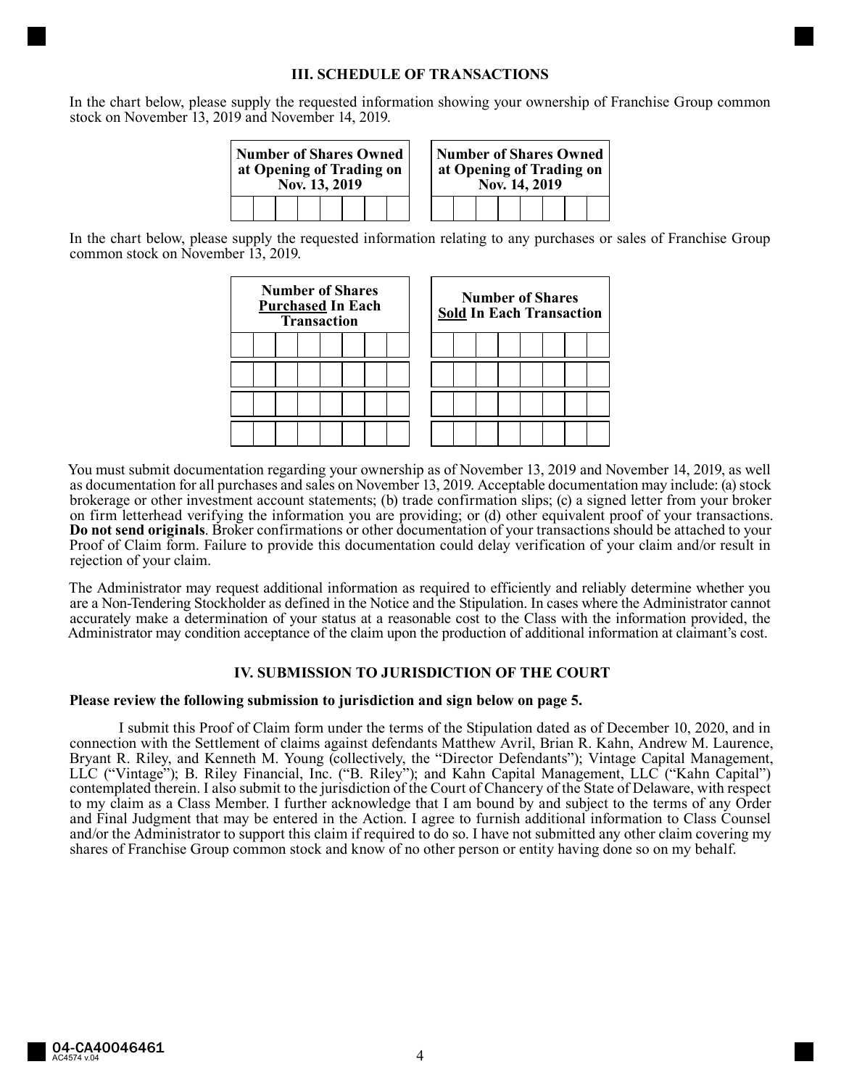## **III. SCHEDULE OF TRANSACTIONS**

In the chart below, please supply the requested information showing your ownership of Franchise Group common stock on November 13, 2019 and November 14, 2019.



In the chart below, please supply the requested information relating to any purchases or sales of Franchise Group common stock on November 13, 2019.



You must submit documentation regarding your ownership as of November 13, 2019 and November 14, 2019, as well as documentation for all purchases and sales on November 13, 2019. Acceptable documentation may include: (a) stock brokerage or other investment account statements; (b) trade confirmation slips; (c) a signed letter from your broker on firm letterhead verifying the information you are providing; or (d) other equivalent proof of your transactions. **Do not send originals**. Broker confirmations or other documentation of your transactions should be attached to your Proof of Claim form. Failure to provide this documentation could delay verification of your claim and/or result in rejection of your claim.

The Administrator may request additional information as required to efficiently and reliably determine whether you are a Non-Tendering Stockholder as defined in the Notice and the Stipulation. In cases where the Administrator cannot accurately make a determination of your status at a reasonable cost to the Class with the information provided, the Administrator may condition acceptance of the claim upon the production of additional information at claimant's cost.

# **IV. SUBMISSION TO JURISDICTION OF THE COURT**

### **Please review the following submission to jurisdiction and sign below on page 5.**

I submit this Proof of Claim form under the terms of the Stipulation dated as of December 10, 2020, and in connection with the Settlement of claims against defendants Matthew Avril, Brian R. Kahn, Andrew M. Laurence, Bryant R. Riley, and Kenneth M. Young (collectively, the "Director Defendants"); Vintage Capital Management, LLC ("Vintage"); B. Riley Financial, Inc. ("B. Riley"); and Kahn Capital Management, LLC ("Kahn Capital") contemplated therein. I also submit to the jurisdiction of the Court of Chancery of the State of Delaware, with respect to my claim as a Class Member. I further acknowledge that I am bound by and subject to the terms of any Order and Final Judgment that may be entered in the Action. I agree to furnish additional information to Class Counsel and/or the Administrator to support this claim if required to do so. I have not submitted any other claim covering my shares of Franchise Group common stock and know of no other person or entity having done so on my behalf.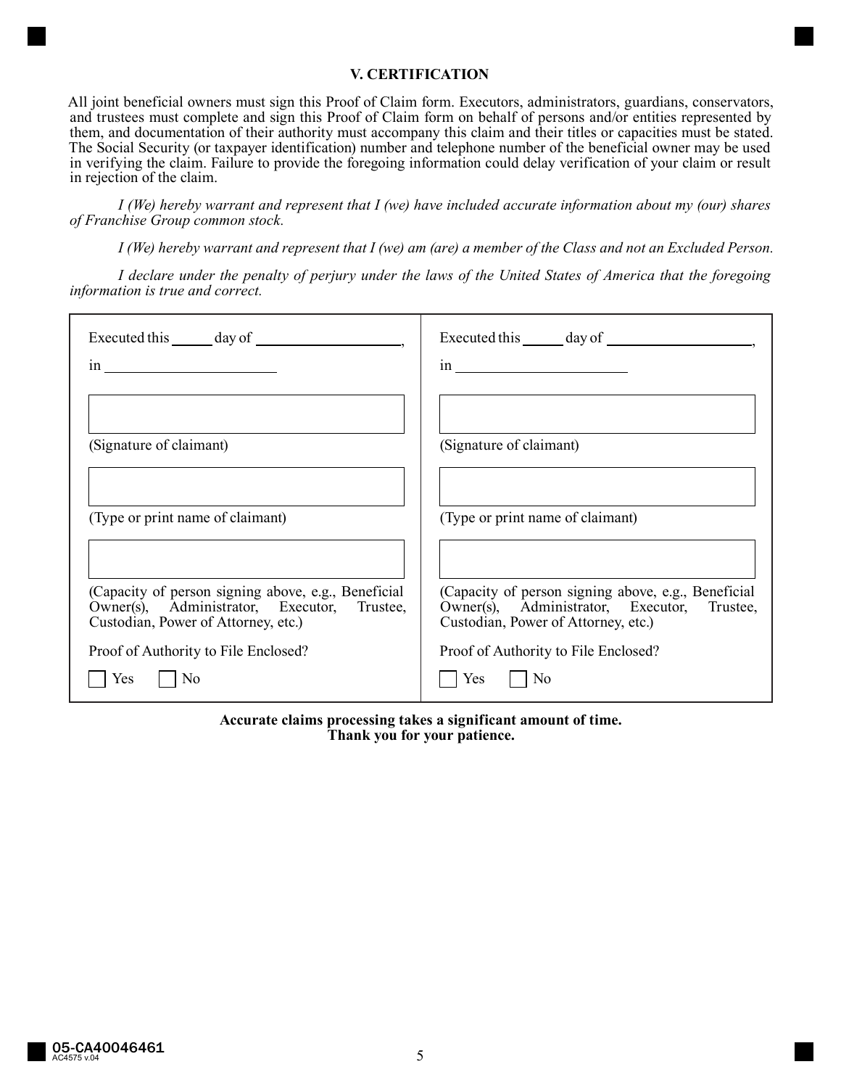## **V. CERTIFICATION**

All joint beneficial owners must sign this Proof of Claim form. Executors, administrators, guardians, conservators, and trustees must complete and sign this Proof of Claim form on behalf of persons and/or entities represented by them, and documentation of their authority must accompany this claim and their titles or capacities must be stated. The Social Security (or taxpayer identification) number and telephone number of the beneficial owner may be used in verifying the claim. Failure to provide the foregoing information could delay verification of your claim or result in rejection of the claim.

*I (We) hereby warrant and represent that I (we) have included accurate information about my (our) shares of Franchise Group common stock.*

*I (We) hereby warrant and represent that I (we) am (are) a member of the Class and not an Excluded Person.*

*I declare under the penalty of perjury under the laws of the United States of America that the foregoing information is true and correct.*

| $\sin \frac{\theta}{2}$                                                                                                                   | $\sin \frac{\pi x}{2}$                                                                                                                    |
|-------------------------------------------------------------------------------------------------------------------------------------------|-------------------------------------------------------------------------------------------------------------------------------------------|
|                                                                                                                                           |                                                                                                                                           |
| (Signature of claimant)                                                                                                                   | (Signature of claimant)                                                                                                                   |
| (Type or print name of claimant)                                                                                                          | (Type or print name of claimant)                                                                                                          |
|                                                                                                                                           |                                                                                                                                           |
| (Capacity of person signing above, e.g., Beneficial<br>Owner(s), Administrator, Executor, Trustee,<br>Custodian, Power of Attorney, etc.) | (Capacity of person signing above, e.g., Beneficial<br>Owner(s), Administrator, Executor, Trustee,<br>Custodian, Power of Attorney, etc.) |
| Proof of Authority to File Enclosed?                                                                                                      | Proof of Authority to File Enclosed?                                                                                                      |
| $\vert$ No<br>Yes.                                                                                                                        | $ $ No<br>Yes                                                                                                                             |

**Accurate claims processing takes a significant amount of time. Thank you for your patience.**